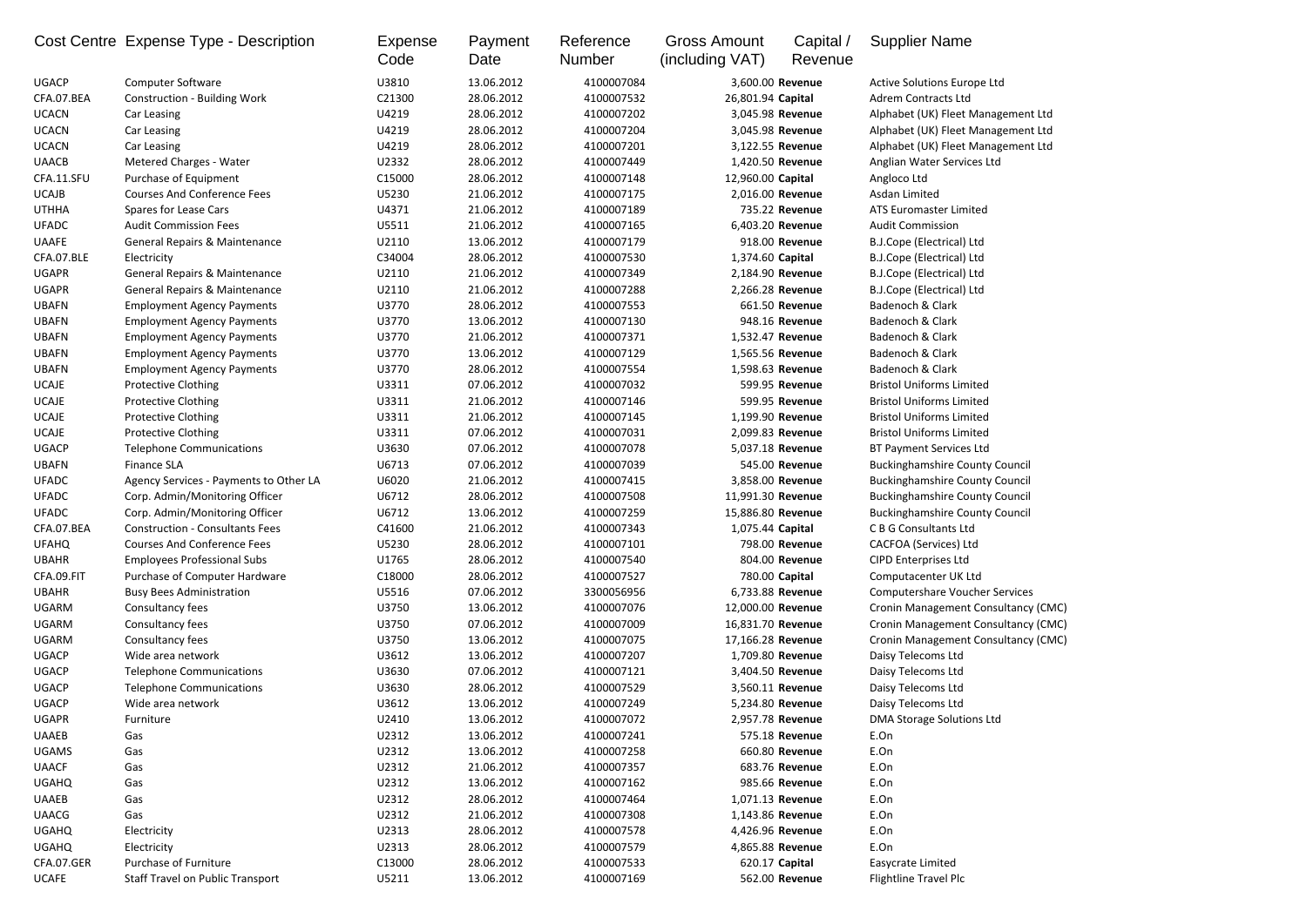|                              | Cost Centre Expense Type - Description   | Expense<br>Code | Payment<br>Date          | Reference<br><b>Number</b> | <b>Gross Amount</b><br>(including VAT) | Capital /<br>Revenue | <b>Supplier Name</b>                  |
|------------------------------|------------------------------------------|-----------------|--------------------------|----------------------------|----------------------------------------|----------------------|---------------------------------------|
| <b>UGACP</b>                 | <b>Computer Software</b>                 | U3810           | 13.06.2012               | 4100007084                 | 3,600.00 Revenue                       |                      | Active Solutions Europe Ltd           |
| CFA.07.BEA                   | <b>Construction - Building Work</b>      | C21300          | 28.06.2012               | 4100007532                 | 26,801.94 Capital                      |                      | <b>Adrem Contracts Ltd</b>            |
| <b>UCACN</b>                 | Car Leasing                              | U4219           | 28.06.2012               | 4100007202                 | 3,045.98 Revenue                       |                      | Alphabet (UK) Fleet Management Ltd    |
| <b>UCACN</b>                 | Car Leasing                              | U4219           | 28.06.2012               | 4100007204                 | 3,045.98 Revenue                       |                      | Alphabet (UK) Fleet Management Ltd    |
| <b>UCACN</b>                 | Car Leasing                              | U4219           | 28.06.2012               | 4100007201                 | 3,122.55 Revenue                       |                      | Alphabet (UK) Fleet Management Ltd    |
| <b>UAACB</b>                 | <b>Metered Charges - Water</b>           | U2332           | 28.06.2012               | 4100007449                 | 1,420.50 Revenue                       |                      | Anglian Water Services Ltd            |
| CFA.11.SFU                   | Purchase of Equipment                    | C15000          | 28.06.2012               | 4100007148                 | 12,960.00 Capital                      |                      | Angloco Ltd                           |
| <b>UCAJB</b>                 | <b>Courses And Conference Fees</b>       | U5230           | 21.06.2012               | 4100007175                 | 2,016.00 Revenue                       |                      | Asdan Limited                         |
| <b>UTHHA</b>                 | Spares for Lease Cars                    | U4371           | 21.06.2012               | 4100007189                 |                                        | 735.22 Revenue       | ATS Euromaster Limited                |
| <b>UFADC</b>                 | <b>Audit Commission Fees</b>             | U5511           | 21.06.2012               | 4100007165                 | 6,403.20 Revenue                       |                      | <b>Audit Commission</b>               |
| <b>UAAFE</b>                 | <b>General Repairs &amp; Maintenance</b> | U2110           | 13.06.2012               | 4100007179                 |                                        | 918.00 Revenue       | <b>B.J.Cope (Electrical) Ltd</b>      |
| CFA.07.BLE                   | Electricity                              | C34004          | 28.06.2012               | 4100007530                 | 1,374.60 Capital                       |                      | <b>B.J.Cope (Electrical) Ltd</b>      |
| <b>UGAPR</b>                 | General Repairs & Maintenance            | U2110           | 21.06.2012               | 4100007349                 | 2,184.90 Revenue                       |                      | <b>B.J.Cope (Electrical) Ltd</b>      |
| <b>UGAPR</b>                 | General Repairs & Maintenance            | U2110           | 21.06.2012               | 4100007288                 | 2,266.28 Revenue                       |                      | <b>B.J.Cope (Electrical) Ltd</b>      |
| <b>UBAFN</b>                 | <b>Employment Agency Payments</b>        | U3770           | 28.06.2012               | 4100007553                 |                                        | 661.50 Revenue       | Badenoch & Clark                      |
| <b>UBAFN</b>                 | <b>Employment Agency Payments</b>        | U3770           | 13.06.2012               | 4100007130                 |                                        | 948.16 Revenue       | Badenoch & Clark                      |
| <b>UBAFN</b>                 | <b>Employment Agency Payments</b>        | U3770           | 21.06.2012               | 4100007371                 | 1,532.47 Revenue                       |                      | Badenoch & Clark                      |
| <b>UBAFN</b>                 | <b>Employment Agency Payments</b>        | U3770           | 13.06.2012               | 4100007129                 | 1,565.56 Revenue                       |                      | Badenoch & Clark                      |
| <b>UBAFN</b>                 | <b>Employment Agency Payments</b>        | U3770           | 28.06.2012               | 4100007554                 | 1,598.63 Revenue                       |                      | Badenoch & Clark                      |
| <b>UCAJE</b>                 | <b>Protective Clothing</b>               | U3311           | 07.06.2012               | 4100007032                 |                                        | 599.95 Revenue       | <b>Bristol Uniforms Limited</b>       |
| <b>UCAJE</b>                 | <b>Protective Clothing</b>               | U3311           | 21.06.2012               | 4100007146                 |                                        | 599.95 Revenue       | <b>Bristol Uniforms Limited</b>       |
| <b>UCAJE</b>                 | <b>Protective Clothing</b>               | U3311           | 21.06.2012               | 4100007145                 | 1,199.90 Revenue                       |                      | <b>Bristol Uniforms Limited</b>       |
| <b>UCAJE</b>                 | <b>Protective Clothing</b>               | U3311           | 07.06.2012               | 4100007031                 | 2,099.83 Revenue                       |                      | <b>Bristol Uniforms Limited</b>       |
| <b>UGACP</b>                 | <b>Telephone Communications</b>          | U3630           | 07.06.2012               | 4100007078                 | 5,037.18 Revenue                       |                      | <b>BT Payment Services Ltd</b>        |
| <b>UBAFN</b>                 | <b>Finance SLA</b>                       | U6713           | 07.06.2012               | 4100007039                 |                                        | 545.00 Revenue       | <b>Buckinghamshire County Council</b> |
| <b>UFADC</b>                 | Agency Services - Payments to Other LA   | U6020           | 21.06.2012               | 4100007415                 | 3,858.00 Revenue                       |                      | <b>Buckinghamshire County Council</b> |
| <b>UFADC</b>                 | Corp. Admin/Monitoring Officer           | U6712           | 28.06.2012               | 4100007508                 | 11,991.30 Revenue                      |                      | <b>Buckinghamshire County Council</b> |
| <b>UFADC</b>                 | Corp. Admin/Monitoring Officer           | U6712           | 13.06.2012               | 4100007259                 | 15,886.80 Revenue                      |                      | <b>Buckinghamshire County Council</b> |
| CFA.07.BEA                   | <b>Construction - Consultants Fees</b>   | C41600          | 21.06.2012               | 4100007343                 | 1,075.44 Capital                       |                      | <b>CBG</b> Consultants Ltd            |
| <b>UFAHQ</b>                 | <b>Courses And Conference Fees</b>       | U5230           | 28.06.2012               | 4100007101                 |                                        | 798.00 Revenue       | <b>CACFOA (Services) Ltd</b>          |
| <b>UBAHR</b>                 | <b>Employees Professional Subs</b>       | U1765           | 28.06.2012               | 4100007540                 |                                        | 804.00 Revenue       | <b>CIPD Enterprises Ltd</b>           |
| CFA.09.FIT                   | Purchase of Computer Hardware            | C18000          | 28.06.2012               | 4100007527                 | 780.00 Capital                         |                      | Computacenter UK Ltd                  |
| <b>UBAHR</b>                 | <b>Busy Bees Administration</b>          | U5516           | 07.06.2012               | 3300056956                 | 6,733.88 Revenue                       |                      | <b>Computershare Voucher Services</b> |
| <b>UGARM</b>                 | Consultancy fees                         | U3750           | 13.06.2012               | 4100007076                 | 12,000.00 Revenue                      |                      | Cronin Management Consultancy (CMC)   |
| UGARM                        | Consultancy fees                         | U3750           | 07.06.2012               | 4100007009                 | 16,831.70 Revenue                      |                      | Cronin Management Consultancy (CMC)   |
| <b>UGARM</b>                 | Consultancy fees                         | U3750           | 13.06.2012               | 4100007075                 | 17,166.28 Revenue                      |                      | Cronin Management Consultancy (CMC)   |
| <b>UGACP</b>                 | Wide area network                        | U3612           | 13.06.2012               | 4100007207                 | 1,709.80 Revenue                       |                      | Daisy Telecoms Ltd                    |
| <b>UGACP</b>                 | <b>Telephone Communications</b>          | U3630           | 07.06.2012               | 4100007121                 | 3,404.50 Revenue                       |                      | Daisy Telecoms Ltd                    |
| <b>UGACP</b>                 | <b>Telephone Communications</b>          | U3630           | 28.06.2012               | 4100007529                 | 3,560.11 Revenue                       |                      | Daisy Telecoms Ltd                    |
| <b>UGACP</b>                 | Wide area network                        | U3612           | 13.06.2012               | 4100007249                 | 5,234.80 Revenue                       |                      | Daisy Telecoms Ltd                    |
| <b>UGAPR</b>                 | Furniture                                | U2410           | 13.06.2012               | 4100007072                 | 2,957.78 Revenue                       |                      | <b>DMA Storage Solutions Ltd</b>      |
| <b>UAAEB</b>                 | Gas                                      | U2312           | 13.06.2012               | 4100007241                 |                                        | 575.18 Revenue       | E.On                                  |
| <b>UGAMS</b>                 | Gas                                      | U2312           | 13.06.2012               | 4100007258                 |                                        | 660.80 Revenue       | E.On                                  |
| <b>UAACF</b>                 | Gas                                      | U2312           | 21.06.2012               | 4100007357                 |                                        | 683.76 Revenue       | E.On                                  |
|                              |                                          | U2312           | 13.06.2012               | 4100007162                 |                                        | 985.66 Revenue       | E.On                                  |
| <b>UGAHQ</b><br><b>UAAEB</b> | Gas<br>Gas                               | U2312           | 28.06.2012               | 4100007464                 | 1,071.13 Revenue                       |                      | E.On                                  |
|                              |                                          | U2312           |                          |                            |                                        |                      |                                       |
| <b>UAACG</b>                 | Gas                                      |                 | 21.06.2012               | 4100007308                 | 1,143.86 Revenue                       |                      | E.On                                  |
| <b>UGAHQ</b>                 | Electricity                              | U2313           | 28.06.2012               | 4100007578                 | 4,426.96 Revenue                       |                      | E.On                                  |
| <b>UGAHQ</b><br>CFA.07.GER   | Electricity<br>Purchase of Furniture     | U2313           | 28.06.2012               | 4100007579                 | 4,865.88 Revenue                       |                      | E.On                                  |
| <b>UCAFE</b>                 |                                          | C13000          | 28.06.2012<br>13.06.2012 | 4100007533                 | 620.17 Capital                         |                      | Easycrate Limited                     |
|                              | Staff Travel on Public Transport         | U5211           |                          | 4100007169                 |                                        | 562.00 Revenue       | Flightline Travel Plc                 |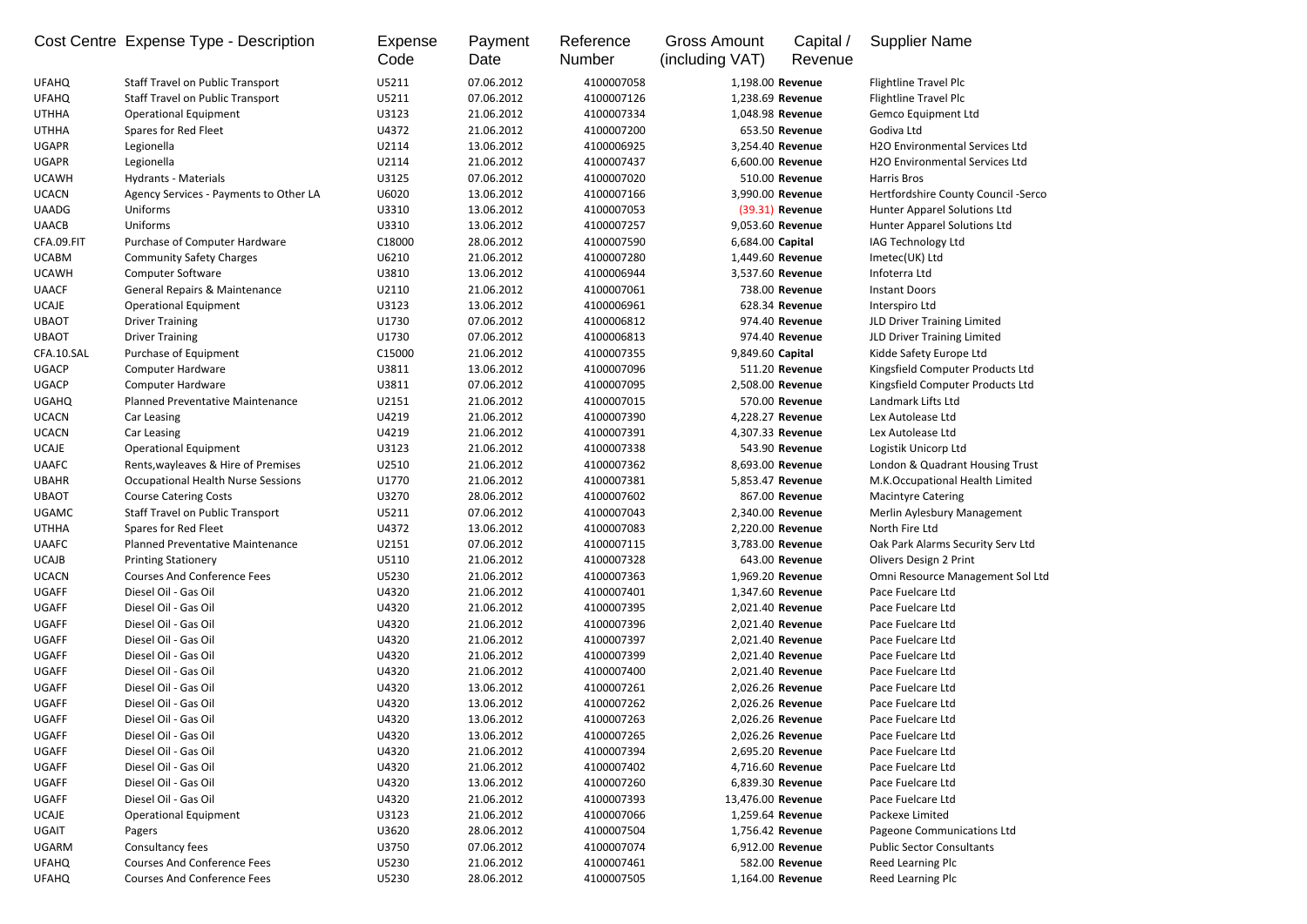| 07.06.2012<br>4100007058<br><b>Staff Travel on Public Transport</b><br>U5211<br>1,198.00 Revenue<br>Flightline Travel Plc<br>07.06.2012<br>Flightline Travel Plc<br><b>Staff Travel on Public Transport</b><br>U5211<br>4100007126<br>1,238.69 Revenue<br>21.06.2012<br><b>Gemco Equipment Ltd</b><br><b>Operational Equipment</b><br>U3123<br>4100007334<br>1,048.98 Revenue<br>Spares for Red Fleet<br>U4372<br>21.06.2012<br>653.50 Revenue<br>Godiva Ltd<br>4100007200<br><b>H2O Environmental Services Ltd</b><br>U2114<br>13.06.2012<br>4100006925<br>3,254.40 Revenue<br>Legionella<br>Legionella<br>U2114<br>21.06.2012<br>4100007437<br>6,600.00 Revenue<br><b>H2O Environmental Services Ltd</b><br>07.06.2012<br>510.00 Revenue<br><b>UCAWH</b><br><b>Hydrants - Materials</b><br>U3125<br>4100007020<br>Harris Bros<br>3,990.00 Revenue<br>Agency Services - Payments to Other LA<br>U6020<br>13.06.2012<br>4100007166<br>Hertfordshire County Council -Serco<br>Uniforms<br>U3310<br>13.06.2012<br>4100007053<br>(39.31) Revenue<br>Hunter Apparel Solutions Ltd<br>Uniforms<br>U3310<br>13.06.2012<br>4100007257<br>9,053.60 Revenue<br><b>Hunter Apparel Solutions Ltd</b><br>Purchase of Computer Hardware<br>C18000<br>28.06.2012<br>6,684.00 Capital<br>IAG Technology Ltd<br>4100007590<br><b>UCABM</b><br><b>Community Safety Charges</b><br>U6210<br>21.06.2012<br>4100007280<br>1,449.60 Revenue<br>Imetec(UK) Ltd<br>Infoterra Ltd<br><b>Computer Software</b><br>U3810<br>13.06.2012<br>4100006944<br>3,537.60 Revenue<br><b>UAACF</b><br>738.00 Revenue<br>General Repairs & Maintenance<br>U2110<br>21.06.2012<br>4100007061<br><b>Instant Doors</b><br><b>UCAJE</b><br><b>Operational Equipment</b><br>U3123<br>13.06.2012<br>4100006961<br>628.34 Revenue<br>Interspiro Ltd<br><b>UBAOT</b><br><b>Driver Training</b><br>U1730<br>07.06.2012<br>974.40 Revenue<br>JLD Driver Training Limited<br>4100006812<br><b>UBAOT</b><br>974.40 Revenue<br>JLD Driver Training Limited<br><b>Driver Training</b><br>U1730<br>07.06.2012<br>4100006813<br>CFA.10.SAL<br>Purchase of Equipment<br>C15000<br>21.06.2012<br>4100007355<br>9,849.60 Capital<br>Kidde Safety Europe Ltd<br>Kingsfield Computer Products Ltd<br><b>UGACP</b><br>U3811<br>13.06.2012<br>4100007096<br>511.20 Revenue<br>Computer Hardware<br><b>UGACP</b><br>07.06.2012<br>2,508.00 Revenue<br><b>Computer Hardware</b><br>U3811<br>4100007095<br>Kingsfield Computer Products Ltd<br>21.06.2012<br>570.00 Revenue<br><b>UGAHQ</b><br>Planned Preventative Maintenance<br>U2151<br>4100007015<br>Landmark Lifts Ltd<br><b>UCACN</b><br>21.06.2012<br>U4219<br>4100007390<br>4,228.27 Revenue<br>Lex Autolease Ltd<br>Car Leasing<br><b>UCACN</b><br>U4219<br>21.06.2012<br>4,307.33 Revenue<br>Lex Autolease Ltd<br>Car Leasing<br>4100007391<br><b>UCAJE</b><br><b>Operational Equipment</b><br>U3123<br>21.06.2012<br>4100007338<br>543.90 Revenue<br>Logistik Unicorp Ltd<br>Rents, wayleaves & Hire of Premises<br><b>UAAFC</b><br>U2510<br>21.06.2012<br>4100007362<br>8,693.00 Revenue<br>London & Quadrant Housing Trust<br>21.06.2012<br><b>UBAHR</b><br><b>Occupational Health Nurse Sessions</b><br>U1770<br>4100007381<br>5,853.47 Revenue<br>M.K.Occupational Health Limited<br><b>UBAOT</b><br><b>Course Catering Costs</b><br>U3270<br>28.06.2012<br>4100007602<br>867.00 Revenue<br><b>Macintyre Catering</b><br><b>UGAMC</b><br>U5211<br>07.06.2012<br>4100007043<br>2,340.00 Revenue<br>Merlin Aylesbury Management<br><b>Staff Travel on Public Transport</b><br><b>UTHHA</b><br>U4372<br>13.06.2012<br>4100007083<br>North Fire Ltd<br>Spares for Red Fleet<br>2,220.00 Revenue<br>Planned Preventative Maintenance<br><b>UAAFC</b><br>U2151<br>07.06.2012<br>3,783.00 Revenue<br>Oak Park Alarms Security Serv Ltd<br>4100007115<br><b>UCAJB</b><br>U5110<br>643.00 Revenue<br><b>Olivers Design 2 Print</b><br><b>Printing Stationery</b><br>21.06.2012<br>4100007328<br><b>UCACN</b><br><b>Courses And Conference Fees</b><br>U5230<br>21.06.2012<br>1,969.20 Revenue<br>Omni Resource Management Sol Ltd<br>4100007363<br>U4320<br><b>UGAFF</b><br>Diesel Oil - Gas Oil<br>21.06.2012<br>4100007401<br>1,347.60 Revenue<br>Pace Fuelcare Ltd<br><b>UGAFF</b><br>U4320<br>Diesel Oil - Gas Oil<br>21.06.2012<br>4100007395<br>2,021.40 Revenue<br>Pace Fuelcare Ltd<br><b>UGAFF</b><br>Diesel Oil - Gas Oil<br>U4320<br>21.06.2012<br>2,021.40 Revenue<br>Pace Fuelcare Ltd<br>4100007396<br><b>UGAFF</b><br>U4320<br>Diesel Oil - Gas Oil<br>21.06.2012<br>4100007397<br>2,021.40 Revenue<br>Pace Fuelcare Ltd<br><b>UGAFF</b><br>Diesel Oil - Gas Oil<br>U4320<br>21.06.2012<br>2,021.40 Revenue<br>Pace Fuelcare Ltd<br>4100007399<br><b>UGAFF</b><br>Diesel Oil - Gas Oil<br>U4320<br>21.06.2012<br>2,021.40 Revenue<br>Pace Fuelcare Ltd<br>4100007400<br><b>UGAFF</b><br>U4320<br>Diesel Oil - Gas Oil<br>13.06.2012<br>4100007261<br>2,026.26 Revenue<br>Pace Fuelcare Ltd<br><b>UGAFF</b><br>Diesel Oil - Gas Oil<br>U4320<br>13.06.2012<br>4100007262<br>2,026.26 Revenue<br>Pace Fuelcare Ltd<br>U4320<br><b>UGAFF</b><br>Diesel Oil - Gas Oil<br>13.06.2012<br>4100007263<br>2,026.26 Revenue<br>Pace Fuelcare Ltd<br><b>UGAFF</b><br>Diesel Oil - Gas Oil<br>U4320<br>13.06.2012<br>2,026.26 Revenue<br>4100007265<br>Pace Fuelcare Ltd<br>U4320<br><b>UGAFF</b><br>Diesel Oil - Gas Oil<br>21.06.2012<br>4100007394<br>2,695.20 Revenue<br>Pace Fuelcare Ltd<br>U4320<br><b>UGAFF</b><br>Diesel Oil - Gas Oil<br>21.06.2012<br>4100007402<br>4,716.60 Revenue<br>Pace Fuelcare Ltd<br><b>UGAFF</b><br>Diesel Oil - Gas Oil<br>U4320<br>13.06.2012<br>6,839.30 Revenue<br>Pace Fuelcare Ltd<br>4100007260<br><b>UGAFF</b><br>Diesel Oil - Gas Oil<br>U4320<br>21.06.2012<br>4100007393<br>13,476.00 Revenue<br>Pace Fuelcare Ltd<br><b>UCAJE</b><br>U3123<br>21.06.2012<br>4100007066<br>1,259.64 Revenue<br>Packexe Limited<br><b>Operational Equipment</b><br>U3620<br><b>UGAIT</b><br>28.06.2012<br>4100007504<br>1,756.42 Revenue<br>Pageone Communications Ltd<br>Pagers<br>UGARM<br>Consultancy fees<br>U3750<br>6,912.00 Revenue<br>07.06.2012<br>4100007074<br><b>Public Sector Consultants</b><br><b>Courses And Conference Fees</b><br><b>UFAHQ</b><br>U5230<br>582.00 Revenue<br>Reed Learning Plc<br>21.06.2012<br>4100007461<br>1,164.00 Revenue |              | Cost Centre Expense Type - Description | <b>Expense</b><br>Code | Payment<br>Date | Reference<br><b>Number</b> | <b>Gross Amount</b><br>(including VAT) | Capital /<br>Revenue | <b>Supplier Name</b> |
|-------------------------------------------------------------------------------------------------------------------------------------------------------------------------------------------------------------------------------------------------------------------------------------------------------------------------------------------------------------------------------------------------------------------------------------------------------------------------------------------------------------------------------------------------------------------------------------------------------------------------------------------------------------------------------------------------------------------------------------------------------------------------------------------------------------------------------------------------------------------------------------------------------------------------------------------------------------------------------------------------------------------------------------------------------------------------------------------------------------------------------------------------------------------------------------------------------------------------------------------------------------------------------------------------------------------------------------------------------------------------------------------------------------------------------------------------------------------------------------------------------------------------------------------------------------------------------------------------------------------------------------------------------------------------------------------------------------------------------------------------------------------------------------------------------------------------------------------------------------------------------------------------------------------------------------------------------------------------------------------------------------------------------------------------------------------------------------------------------------------------------------------------------------------------------------------------------------------------------------------------------------------------------------------------------------------------------------------------------------------------------------------------------------------------------------------------------------------------------------------------------------------------------------------------------------------------------------------------------------------------------------------------------------------------------------------------------------------------------------------------------------------------------------------------------------------------------------------------------------------------------------------------------------------------------------------------------------------------------------------------------------------------------------------------------------------------------------------------------------------------------------------------------------------------------------------------------------------------------------------------------------------------------------------------------------------------------------------------------------------------------------------------------------------------------------------------------------------------------------------------------------------------------------------------------------------------------------------------------------------------------------------------------------------------------------------------------------------------------------------------------------------------------------------------------------------------------------------------------------------------------------------------------------------------------------------------------------------------------------------------------------------------------------------------------------------------------------------------------------------------------------------------------------------------------------------------------------------------------------------------------------------------------------------------------------------------------------------------------------------------------------------------------------------------------------------------------------------------------------------------------------------------------------------------------------------------------------------------------------------------------------------------------------------------------------------------------------------------------------------------------------------------------------------------------------------------------------------------------------------------------------------------------------------------------------------------------------------------------------------------------------------------------------------------------------------------------------------------------------------------------------------------------------------------------------------------------------------------------------------------------------------------------------------------------------------------------------------------------------------------------------------------------------------------------------------------------------------------------------------------------------------------------------------------------------------------------------------------------------------------------------------------------------------------------------------------------------------------------------------------------------------------------------------------------------------------------------------------------------------------------------------------------------------------------------------------------------------------------------------------------------------------------------------------------------------------------------------------------------------------------------------------------------------------------------------------------------------------------------------------------------------------------------------------------------------------------------------------------------------------------------------|--------------|----------------------------------------|------------------------|-----------------|----------------------------|----------------------------------------|----------------------|----------------------|
|                                                                                                                                                                                                                                                                                                                                                                                                                                                                                                                                                                                                                                                                                                                                                                                                                                                                                                                                                                                                                                                                                                                                                                                                                                                                                                                                                                                                                                                                                                                                                                                                                                                                                                                                                                                                                                                                                                                                                                                                                                                                                                                                                                                                                                                                                                                                                                                                                                                                                                                                                                                                                                                                                                                                                                                                                                                                                                                                                                                                                                                                                                                                                                                                                                                                                                                                                                                                                                                                                                                                                                                                                                                                                                                                                                                                                                                                                                                                                                                                                                                                                                                                                                                                                                                                                                                                                                                                                                                                                                                                                                                                                                                                                                                                                                                                                                                                                                                                                                                                                                                                                                                                                                                                                                                                                                                                                                                                                                                                                                                                                                                                                                                                                                                                                                                                                                                                                                                                                                                                                                                                                                                                                                                                                                                                                                                                                                                           | <b>UFAHQ</b> |                                        |                        |                 |                            |                                        |                      |                      |
|                                                                                                                                                                                                                                                                                                                                                                                                                                                                                                                                                                                                                                                                                                                                                                                                                                                                                                                                                                                                                                                                                                                                                                                                                                                                                                                                                                                                                                                                                                                                                                                                                                                                                                                                                                                                                                                                                                                                                                                                                                                                                                                                                                                                                                                                                                                                                                                                                                                                                                                                                                                                                                                                                                                                                                                                                                                                                                                                                                                                                                                                                                                                                                                                                                                                                                                                                                                                                                                                                                                                                                                                                                                                                                                                                                                                                                                                                                                                                                                                                                                                                                                                                                                                                                                                                                                                                                                                                                                                                                                                                                                                                                                                                                                                                                                                                                                                                                                                                                                                                                                                                                                                                                                                                                                                                                                                                                                                                                                                                                                                                                                                                                                                                                                                                                                                                                                                                                                                                                                                                                                                                                                                                                                                                                                                                                                                                                                           | <b>UFAHQ</b> |                                        |                        |                 |                            |                                        |                      |                      |
|                                                                                                                                                                                                                                                                                                                                                                                                                                                                                                                                                                                                                                                                                                                                                                                                                                                                                                                                                                                                                                                                                                                                                                                                                                                                                                                                                                                                                                                                                                                                                                                                                                                                                                                                                                                                                                                                                                                                                                                                                                                                                                                                                                                                                                                                                                                                                                                                                                                                                                                                                                                                                                                                                                                                                                                                                                                                                                                                                                                                                                                                                                                                                                                                                                                                                                                                                                                                                                                                                                                                                                                                                                                                                                                                                                                                                                                                                                                                                                                                                                                                                                                                                                                                                                                                                                                                                                                                                                                                                                                                                                                                                                                                                                                                                                                                                                                                                                                                                                                                                                                                                                                                                                                                                                                                                                                                                                                                                                                                                                                                                                                                                                                                                                                                                                                                                                                                                                                                                                                                                                                                                                                                                                                                                                                                                                                                                                                           | <b>UTHHA</b> |                                        |                        |                 |                            |                                        |                      |                      |
|                                                                                                                                                                                                                                                                                                                                                                                                                                                                                                                                                                                                                                                                                                                                                                                                                                                                                                                                                                                                                                                                                                                                                                                                                                                                                                                                                                                                                                                                                                                                                                                                                                                                                                                                                                                                                                                                                                                                                                                                                                                                                                                                                                                                                                                                                                                                                                                                                                                                                                                                                                                                                                                                                                                                                                                                                                                                                                                                                                                                                                                                                                                                                                                                                                                                                                                                                                                                                                                                                                                                                                                                                                                                                                                                                                                                                                                                                                                                                                                                                                                                                                                                                                                                                                                                                                                                                                                                                                                                                                                                                                                                                                                                                                                                                                                                                                                                                                                                                                                                                                                                                                                                                                                                                                                                                                                                                                                                                                                                                                                                                                                                                                                                                                                                                                                                                                                                                                                                                                                                                                                                                                                                                                                                                                                                                                                                                                                           | <b>UTHHA</b> |                                        |                        |                 |                            |                                        |                      |                      |
|                                                                                                                                                                                                                                                                                                                                                                                                                                                                                                                                                                                                                                                                                                                                                                                                                                                                                                                                                                                                                                                                                                                                                                                                                                                                                                                                                                                                                                                                                                                                                                                                                                                                                                                                                                                                                                                                                                                                                                                                                                                                                                                                                                                                                                                                                                                                                                                                                                                                                                                                                                                                                                                                                                                                                                                                                                                                                                                                                                                                                                                                                                                                                                                                                                                                                                                                                                                                                                                                                                                                                                                                                                                                                                                                                                                                                                                                                                                                                                                                                                                                                                                                                                                                                                                                                                                                                                                                                                                                                                                                                                                                                                                                                                                                                                                                                                                                                                                                                                                                                                                                                                                                                                                                                                                                                                                                                                                                                                                                                                                                                                                                                                                                                                                                                                                                                                                                                                                                                                                                                                                                                                                                                                                                                                                                                                                                                                                           | <b>UGAPR</b> |                                        |                        |                 |                            |                                        |                      |                      |
|                                                                                                                                                                                                                                                                                                                                                                                                                                                                                                                                                                                                                                                                                                                                                                                                                                                                                                                                                                                                                                                                                                                                                                                                                                                                                                                                                                                                                                                                                                                                                                                                                                                                                                                                                                                                                                                                                                                                                                                                                                                                                                                                                                                                                                                                                                                                                                                                                                                                                                                                                                                                                                                                                                                                                                                                                                                                                                                                                                                                                                                                                                                                                                                                                                                                                                                                                                                                                                                                                                                                                                                                                                                                                                                                                                                                                                                                                                                                                                                                                                                                                                                                                                                                                                                                                                                                                                                                                                                                                                                                                                                                                                                                                                                                                                                                                                                                                                                                                                                                                                                                                                                                                                                                                                                                                                                                                                                                                                                                                                                                                                                                                                                                                                                                                                                                                                                                                                                                                                                                                                                                                                                                                                                                                                                                                                                                                                                           | <b>UGAPR</b> |                                        |                        |                 |                            |                                        |                      |                      |
|                                                                                                                                                                                                                                                                                                                                                                                                                                                                                                                                                                                                                                                                                                                                                                                                                                                                                                                                                                                                                                                                                                                                                                                                                                                                                                                                                                                                                                                                                                                                                                                                                                                                                                                                                                                                                                                                                                                                                                                                                                                                                                                                                                                                                                                                                                                                                                                                                                                                                                                                                                                                                                                                                                                                                                                                                                                                                                                                                                                                                                                                                                                                                                                                                                                                                                                                                                                                                                                                                                                                                                                                                                                                                                                                                                                                                                                                                                                                                                                                                                                                                                                                                                                                                                                                                                                                                                                                                                                                                                                                                                                                                                                                                                                                                                                                                                                                                                                                                                                                                                                                                                                                                                                                                                                                                                                                                                                                                                                                                                                                                                                                                                                                                                                                                                                                                                                                                                                                                                                                                                                                                                                                                                                                                                                                                                                                                                                           |              |                                        |                        |                 |                            |                                        |                      |                      |
|                                                                                                                                                                                                                                                                                                                                                                                                                                                                                                                                                                                                                                                                                                                                                                                                                                                                                                                                                                                                                                                                                                                                                                                                                                                                                                                                                                                                                                                                                                                                                                                                                                                                                                                                                                                                                                                                                                                                                                                                                                                                                                                                                                                                                                                                                                                                                                                                                                                                                                                                                                                                                                                                                                                                                                                                                                                                                                                                                                                                                                                                                                                                                                                                                                                                                                                                                                                                                                                                                                                                                                                                                                                                                                                                                                                                                                                                                                                                                                                                                                                                                                                                                                                                                                                                                                                                                                                                                                                                                                                                                                                                                                                                                                                                                                                                                                                                                                                                                                                                                                                                                                                                                                                                                                                                                                                                                                                                                                                                                                                                                                                                                                                                                                                                                                                                                                                                                                                                                                                                                                                                                                                                                                                                                                                                                                                                                                                           | <b>UCACN</b> |                                        |                        |                 |                            |                                        |                      |                      |
|                                                                                                                                                                                                                                                                                                                                                                                                                                                                                                                                                                                                                                                                                                                                                                                                                                                                                                                                                                                                                                                                                                                                                                                                                                                                                                                                                                                                                                                                                                                                                                                                                                                                                                                                                                                                                                                                                                                                                                                                                                                                                                                                                                                                                                                                                                                                                                                                                                                                                                                                                                                                                                                                                                                                                                                                                                                                                                                                                                                                                                                                                                                                                                                                                                                                                                                                                                                                                                                                                                                                                                                                                                                                                                                                                                                                                                                                                                                                                                                                                                                                                                                                                                                                                                                                                                                                                                                                                                                                                                                                                                                                                                                                                                                                                                                                                                                                                                                                                                                                                                                                                                                                                                                                                                                                                                                                                                                                                                                                                                                                                                                                                                                                                                                                                                                                                                                                                                                                                                                                                                                                                                                                                                                                                                                                                                                                                                                           | <b>UAADG</b> |                                        |                        |                 |                            |                                        |                      |                      |
|                                                                                                                                                                                                                                                                                                                                                                                                                                                                                                                                                                                                                                                                                                                                                                                                                                                                                                                                                                                                                                                                                                                                                                                                                                                                                                                                                                                                                                                                                                                                                                                                                                                                                                                                                                                                                                                                                                                                                                                                                                                                                                                                                                                                                                                                                                                                                                                                                                                                                                                                                                                                                                                                                                                                                                                                                                                                                                                                                                                                                                                                                                                                                                                                                                                                                                                                                                                                                                                                                                                                                                                                                                                                                                                                                                                                                                                                                                                                                                                                                                                                                                                                                                                                                                                                                                                                                                                                                                                                                                                                                                                                                                                                                                                                                                                                                                                                                                                                                                                                                                                                                                                                                                                                                                                                                                                                                                                                                                                                                                                                                                                                                                                                                                                                                                                                                                                                                                                                                                                                                                                                                                                                                                                                                                                                                                                                                                                           | <b>UAACB</b> |                                        |                        |                 |                            |                                        |                      |                      |
|                                                                                                                                                                                                                                                                                                                                                                                                                                                                                                                                                                                                                                                                                                                                                                                                                                                                                                                                                                                                                                                                                                                                                                                                                                                                                                                                                                                                                                                                                                                                                                                                                                                                                                                                                                                                                                                                                                                                                                                                                                                                                                                                                                                                                                                                                                                                                                                                                                                                                                                                                                                                                                                                                                                                                                                                                                                                                                                                                                                                                                                                                                                                                                                                                                                                                                                                                                                                                                                                                                                                                                                                                                                                                                                                                                                                                                                                                                                                                                                                                                                                                                                                                                                                                                                                                                                                                                                                                                                                                                                                                                                                                                                                                                                                                                                                                                                                                                                                                                                                                                                                                                                                                                                                                                                                                                                                                                                                                                                                                                                                                                                                                                                                                                                                                                                                                                                                                                                                                                                                                                                                                                                                                                                                                                                                                                                                                                                           | CFA.09.FIT   |                                        |                        |                 |                            |                                        |                      |                      |
|                                                                                                                                                                                                                                                                                                                                                                                                                                                                                                                                                                                                                                                                                                                                                                                                                                                                                                                                                                                                                                                                                                                                                                                                                                                                                                                                                                                                                                                                                                                                                                                                                                                                                                                                                                                                                                                                                                                                                                                                                                                                                                                                                                                                                                                                                                                                                                                                                                                                                                                                                                                                                                                                                                                                                                                                                                                                                                                                                                                                                                                                                                                                                                                                                                                                                                                                                                                                                                                                                                                                                                                                                                                                                                                                                                                                                                                                                                                                                                                                                                                                                                                                                                                                                                                                                                                                                                                                                                                                                                                                                                                                                                                                                                                                                                                                                                                                                                                                                                                                                                                                                                                                                                                                                                                                                                                                                                                                                                                                                                                                                                                                                                                                                                                                                                                                                                                                                                                                                                                                                                                                                                                                                                                                                                                                                                                                                                                           |              |                                        |                        |                 |                            |                                        |                      |                      |
|                                                                                                                                                                                                                                                                                                                                                                                                                                                                                                                                                                                                                                                                                                                                                                                                                                                                                                                                                                                                                                                                                                                                                                                                                                                                                                                                                                                                                                                                                                                                                                                                                                                                                                                                                                                                                                                                                                                                                                                                                                                                                                                                                                                                                                                                                                                                                                                                                                                                                                                                                                                                                                                                                                                                                                                                                                                                                                                                                                                                                                                                                                                                                                                                                                                                                                                                                                                                                                                                                                                                                                                                                                                                                                                                                                                                                                                                                                                                                                                                                                                                                                                                                                                                                                                                                                                                                                                                                                                                                                                                                                                                                                                                                                                                                                                                                                                                                                                                                                                                                                                                                                                                                                                                                                                                                                                                                                                                                                                                                                                                                                                                                                                                                                                                                                                                                                                                                                                                                                                                                                                                                                                                                                                                                                                                                                                                                                                           | <b>UCAWH</b> |                                        |                        |                 |                            |                                        |                      |                      |
|                                                                                                                                                                                                                                                                                                                                                                                                                                                                                                                                                                                                                                                                                                                                                                                                                                                                                                                                                                                                                                                                                                                                                                                                                                                                                                                                                                                                                                                                                                                                                                                                                                                                                                                                                                                                                                                                                                                                                                                                                                                                                                                                                                                                                                                                                                                                                                                                                                                                                                                                                                                                                                                                                                                                                                                                                                                                                                                                                                                                                                                                                                                                                                                                                                                                                                                                                                                                                                                                                                                                                                                                                                                                                                                                                                                                                                                                                                                                                                                                                                                                                                                                                                                                                                                                                                                                                                                                                                                                                                                                                                                                                                                                                                                                                                                                                                                                                                                                                                                                                                                                                                                                                                                                                                                                                                                                                                                                                                                                                                                                                                                                                                                                                                                                                                                                                                                                                                                                                                                                                                                                                                                                                                                                                                                                                                                                                                                           |              |                                        |                        |                 |                            |                                        |                      |                      |
|                                                                                                                                                                                                                                                                                                                                                                                                                                                                                                                                                                                                                                                                                                                                                                                                                                                                                                                                                                                                                                                                                                                                                                                                                                                                                                                                                                                                                                                                                                                                                                                                                                                                                                                                                                                                                                                                                                                                                                                                                                                                                                                                                                                                                                                                                                                                                                                                                                                                                                                                                                                                                                                                                                                                                                                                                                                                                                                                                                                                                                                                                                                                                                                                                                                                                                                                                                                                                                                                                                                                                                                                                                                                                                                                                                                                                                                                                                                                                                                                                                                                                                                                                                                                                                                                                                                                                                                                                                                                                                                                                                                                                                                                                                                                                                                                                                                                                                                                                                                                                                                                                                                                                                                                                                                                                                                                                                                                                                                                                                                                                                                                                                                                                                                                                                                                                                                                                                                                                                                                                                                                                                                                                                                                                                                                                                                                                                                           |              |                                        |                        |                 |                            |                                        |                      |                      |
|                                                                                                                                                                                                                                                                                                                                                                                                                                                                                                                                                                                                                                                                                                                                                                                                                                                                                                                                                                                                                                                                                                                                                                                                                                                                                                                                                                                                                                                                                                                                                                                                                                                                                                                                                                                                                                                                                                                                                                                                                                                                                                                                                                                                                                                                                                                                                                                                                                                                                                                                                                                                                                                                                                                                                                                                                                                                                                                                                                                                                                                                                                                                                                                                                                                                                                                                                                                                                                                                                                                                                                                                                                                                                                                                                                                                                                                                                                                                                                                                                                                                                                                                                                                                                                                                                                                                                                                                                                                                                                                                                                                                                                                                                                                                                                                                                                                                                                                                                                                                                                                                                                                                                                                                                                                                                                                                                                                                                                                                                                                                                                                                                                                                                                                                                                                                                                                                                                                                                                                                                                                                                                                                                                                                                                                                                                                                                                                           |              |                                        |                        |                 |                            |                                        |                      |                      |
|                                                                                                                                                                                                                                                                                                                                                                                                                                                                                                                                                                                                                                                                                                                                                                                                                                                                                                                                                                                                                                                                                                                                                                                                                                                                                                                                                                                                                                                                                                                                                                                                                                                                                                                                                                                                                                                                                                                                                                                                                                                                                                                                                                                                                                                                                                                                                                                                                                                                                                                                                                                                                                                                                                                                                                                                                                                                                                                                                                                                                                                                                                                                                                                                                                                                                                                                                                                                                                                                                                                                                                                                                                                                                                                                                                                                                                                                                                                                                                                                                                                                                                                                                                                                                                                                                                                                                                                                                                                                                                                                                                                                                                                                                                                                                                                                                                                                                                                                                                                                                                                                                                                                                                                                                                                                                                                                                                                                                                                                                                                                                                                                                                                                                                                                                                                                                                                                                                                                                                                                                                                                                                                                                                                                                                                                                                                                                                                           |              |                                        |                        |                 |                            |                                        |                      |                      |
|                                                                                                                                                                                                                                                                                                                                                                                                                                                                                                                                                                                                                                                                                                                                                                                                                                                                                                                                                                                                                                                                                                                                                                                                                                                                                                                                                                                                                                                                                                                                                                                                                                                                                                                                                                                                                                                                                                                                                                                                                                                                                                                                                                                                                                                                                                                                                                                                                                                                                                                                                                                                                                                                                                                                                                                                                                                                                                                                                                                                                                                                                                                                                                                                                                                                                                                                                                                                                                                                                                                                                                                                                                                                                                                                                                                                                                                                                                                                                                                                                                                                                                                                                                                                                                                                                                                                                                                                                                                                                                                                                                                                                                                                                                                                                                                                                                                                                                                                                                                                                                                                                                                                                                                                                                                                                                                                                                                                                                                                                                                                                                                                                                                                                                                                                                                                                                                                                                                                                                                                                                                                                                                                                                                                                                                                                                                                                                                           |              |                                        |                        |                 |                            |                                        |                      |                      |
|                                                                                                                                                                                                                                                                                                                                                                                                                                                                                                                                                                                                                                                                                                                                                                                                                                                                                                                                                                                                                                                                                                                                                                                                                                                                                                                                                                                                                                                                                                                                                                                                                                                                                                                                                                                                                                                                                                                                                                                                                                                                                                                                                                                                                                                                                                                                                                                                                                                                                                                                                                                                                                                                                                                                                                                                                                                                                                                                                                                                                                                                                                                                                                                                                                                                                                                                                                                                                                                                                                                                                                                                                                                                                                                                                                                                                                                                                                                                                                                                                                                                                                                                                                                                                                                                                                                                                                                                                                                                                                                                                                                                                                                                                                                                                                                                                                                                                                                                                                                                                                                                                                                                                                                                                                                                                                                                                                                                                                                                                                                                                                                                                                                                                                                                                                                                                                                                                                                                                                                                                                                                                                                                                                                                                                                                                                                                                                                           |              |                                        |                        |                 |                            |                                        |                      |                      |
|                                                                                                                                                                                                                                                                                                                                                                                                                                                                                                                                                                                                                                                                                                                                                                                                                                                                                                                                                                                                                                                                                                                                                                                                                                                                                                                                                                                                                                                                                                                                                                                                                                                                                                                                                                                                                                                                                                                                                                                                                                                                                                                                                                                                                                                                                                                                                                                                                                                                                                                                                                                                                                                                                                                                                                                                                                                                                                                                                                                                                                                                                                                                                                                                                                                                                                                                                                                                                                                                                                                                                                                                                                                                                                                                                                                                                                                                                                                                                                                                                                                                                                                                                                                                                                                                                                                                                                                                                                                                                                                                                                                                                                                                                                                                                                                                                                                                                                                                                                                                                                                                                                                                                                                                                                                                                                                                                                                                                                                                                                                                                                                                                                                                                                                                                                                                                                                                                                                                                                                                                                                                                                                                                                                                                                                                                                                                                                                           |              |                                        |                        |                 |                            |                                        |                      |                      |
|                                                                                                                                                                                                                                                                                                                                                                                                                                                                                                                                                                                                                                                                                                                                                                                                                                                                                                                                                                                                                                                                                                                                                                                                                                                                                                                                                                                                                                                                                                                                                                                                                                                                                                                                                                                                                                                                                                                                                                                                                                                                                                                                                                                                                                                                                                                                                                                                                                                                                                                                                                                                                                                                                                                                                                                                                                                                                                                                                                                                                                                                                                                                                                                                                                                                                                                                                                                                                                                                                                                                                                                                                                                                                                                                                                                                                                                                                                                                                                                                                                                                                                                                                                                                                                                                                                                                                                                                                                                                                                                                                                                                                                                                                                                                                                                                                                                                                                                                                                                                                                                                                                                                                                                                                                                                                                                                                                                                                                                                                                                                                                                                                                                                                                                                                                                                                                                                                                                                                                                                                                                                                                                                                                                                                                                                                                                                                                                           |              |                                        |                        |                 |                            |                                        |                      |                      |
|                                                                                                                                                                                                                                                                                                                                                                                                                                                                                                                                                                                                                                                                                                                                                                                                                                                                                                                                                                                                                                                                                                                                                                                                                                                                                                                                                                                                                                                                                                                                                                                                                                                                                                                                                                                                                                                                                                                                                                                                                                                                                                                                                                                                                                                                                                                                                                                                                                                                                                                                                                                                                                                                                                                                                                                                                                                                                                                                                                                                                                                                                                                                                                                                                                                                                                                                                                                                                                                                                                                                                                                                                                                                                                                                                                                                                                                                                                                                                                                                                                                                                                                                                                                                                                                                                                                                                                                                                                                                                                                                                                                                                                                                                                                                                                                                                                                                                                                                                                                                                                                                                                                                                                                                                                                                                                                                                                                                                                                                                                                                                                                                                                                                                                                                                                                                                                                                                                                                                                                                                                                                                                                                                                                                                                                                                                                                                                                           |              |                                        |                        |                 |                            |                                        |                      |                      |
|                                                                                                                                                                                                                                                                                                                                                                                                                                                                                                                                                                                                                                                                                                                                                                                                                                                                                                                                                                                                                                                                                                                                                                                                                                                                                                                                                                                                                                                                                                                                                                                                                                                                                                                                                                                                                                                                                                                                                                                                                                                                                                                                                                                                                                                                                                                                                                                                                                                                                                                                                                                                                                                                                                                                                                                                                                                                                                                                                                                                                                                                                                                                                                                                                                                                                                                                                                                                                                                                                                                                                                                                                                                                                                                                                                                                                                                                                                                                                                                                                                                                                                                                                                                                                                                                                                                                                                                                                                                                                                                                                                                                                                                                                                                                                                                                                                                                                                                                                                                                                                                                                                                                                                                                                                                                                                                                                                                                                                                                                                                                                                                                                                                                                                                                                                                                                                                                                                                                                                                                                                                                                                                                                                                                                                                                                                                                                                                           |              |                                        |                        |                 |                            |                                        |                      |                      |
|                                                                                                                                                                                                                                                                                                                                                                                                                                                                                                                                                                                                                                                                                                                                                                                                                                                                                                                                                                                                                                                                                                                                                                                                                                                                                                                                                                                                                                                                                                                                                                                                                                                                                                                                                                                                                                                                                                                                                                                                                                                                                                                                                                                                                                                                                                                                                                                                                                                                                                                                                                                                                                                                                                                                                                                                                                                                                                                                                                                                                                                                                                                                                                                                                                                                                                                                                                                                                                                                                                                                                                                                                                                                                                                                                                                                                                                                                                                                                                                                                                                                                                                                                                                                                                                                                                                                                                                                                                                                                                                                                                                                                                                                                                                                                                                                                                                                                                                                                                                                                                                                                                                                                                                                                                                                                                                                                                                                                                                                                                                                                                                                                                                                                                                                                                                                                                                                                                                                                                                                                                                                                                                                                                                                                                                                                                                                                                                           |              |                                        |                        |                 |                            |                                        |                      |                      |
|                                                                                                                                                                                                                                                                                                                                                                                                                                                                                                                                                                                                                                                                                                                                                                                                                                                                                                                                                                                                                                                                                                                                                                                                                                                                                                                                                                                                                                                                                                                                                                                                                                                                                                                                                                                                                                                                                                                                                                                                                                                                                                                                                                                                                                                                                                                                                                                                                                                                                                                                                                                                                                                                                                                                                                                                                                                                                                                                                                                                                                                                                                                                                                                                                                                                                                                                                                                                                                                                                                                                                                                                                                                                                                                                                                                                                                                                                                                                                                                                                                                                                                                                                                                                                                                                                                                                                                                                                                                                                                                                                                                                                                                                                                                                                                                                                                                                                                                                                                                                                                                                                                                                                                                                                                                                                                                                                                                                                                                                                                                                                                                                                                                                                                                                                                                                                                                                                                                                                                                                                                                                                                                                                                                                                                                                                                                                                                                           |              |                                        |                        |                 |                            |                                        |                      |                      |
|                                                                                                                                                                                                                                                                                                                                                                                                                                                                                                                                                                                                                                                                                                                                                                                                                                                                                                                                                                                                                                                                                                                                                                                                                                                                                                                                                                                                                                                                                                                                                                                                                                                                                                                                                                                                                                                                                                                                                                                                                                                                                                                                                                                                                                                                                                                                                                                                                                                                                                                                                                                                                                                                                                                                                                                                                                                                                                                                                                                                                                                                                                                                                                                                                                                                                                                                                                                                                                                                                                                                                                                                                                                                                                                                                                                                                                                                                                                                                                                                                                                                                                                                                                                                                                                                                                                                                                                                                                                                                                                                                                                                                                                                                                                                                                                                                                                                                                                                                                                                                                                                                                                                                                                                                                                                                                                                                                                                                                                                                                                                                                                                                                                                                                                                                                                                                                                                                                                                                                                                                                                                                                                                                                                                                                                                                                                                                                                           |              |                                        |                        |                 |                            |                                        |                      |                      |
|                                                                                                                                                                                                                                                                                                                                                                                                                                                                                                                                                                                                                                                                                                                                                                                                                                                                                                                                                                                                                                                                                                                                                                                                                                                                                                                                                                                                                                                                                                                                                                                                                                                                                                                                                                                                                                                                                                                                                                                                                                                                                                                                                                                                                                                                                                                                                                                                                                                                                                                                                                                                                                                                                                                                                                                                                                                                                                                                                                                                                                                                                                                                                                                                                                                                                                                                                                                                                                                                                                                                                                                                                                                                                                                                                                                                                                                                                                                                                                                                                                                                                                                                                                                                                                                                                                                                                                                                                                                                                                                                                                                                                                                                                                                                                                                                                                                                                                                                                                                                                                                                                                                                                                                                                                                                                                                                                                                                                                                                                                                                                                                                                                                                                                                                                                                                                                                                                                                                                                                                                                                                                                                                                                                                                                                                                                                                                                                           |              |                                        |                        |                 |                            |                                        |                      |                      |
|                                                                                                                                                                                                                                                                                                                                                                                                                                                                                                                                                                                                                                                                                                                                                                                                                                                                                                                                                                                                                                                                                                                                                                                                                                                                                                                                                                                                                                                                                                                                                                                                                                                                                                                                                                                                                                                                                                                                                                                                                                                                                                                                                                                                                                                                                                                                                                                                                                                                                                                                                                                                                                                                                                                                                                                                                                                                                                                                                                                                                                                                                                                                                                                                                                                                                                                                                                                                                                                                                                                                                                                                                                                                                                                                                                                                                                                                                                                                                                                                                                                                                                                                                                                                                                                                                                                                                                                                                                                                                                                                                                                                                                                                                                                                                                                                                                                                                                                                                                                                                                                                                                                                                                                                                                                                                                                                                                                                                                                                                                                                                                                                                                                                                                                                                                                                                                                                                                                                                                                                                                                                                                                                                                                                                                                                                                                                                                                           |              |                                        |                        |                 |                            |                                        |                      |                      |
|                                                                                                                                                                                                                                                                                                                                                                                                                                                                                                                                                                                                                                                                                                                                                                                                                                                                                                                                                                                                                                                                                                                                                                                                                                                                                                                                                                                                                                                                                                                                                                                                                                                                                                                                                                                                                                                                                                                                                                                                                                                                                                                                                                                                                                                                                                                                                                                                                                                                                                                                                                                                                                                                                                                                                                                                                                                                                                                                                                                                                                                                                                                                                                                                                                                                                                                                                                                                                                                                                                                                                                                                                                                                                                                                                                                                                                                                                                                                                                                                                                                                                                                                                                                                                                                                                                                                                                                                                                                                                                                                                                                                                                                                                                                                                                                                                                                                                                                                                                                                                                                                                                                                                                                                                                                                                                                                                                                                                                                                                                                                                                                                                                                                                                                                                                                                                                                                                                                                                                                                                                                                                                                                                                                                                                                                                                                                                                                           |              |                                        |                        |                 |                            |                                        |                      |                      |
|                                                                                                                                                                                                                                                                                                                                                                                                                                                                                                                                                                                                                                                                                                                                                                                                                                                                                                                                                                                                                                                                                                                                                                                                                                                                                                                                                                                                                                                                                                                                                                                                                                                                                                                                                                                                                                                                                                                                                                                                                                                                                                                                                                                                                                                                                                                                                                                                                                                                                                                                                                                                                                                                                                                                                                                                                                                                                                                                                                                                                                                                                                                                                                                                                                                                                                                                                                                                                                                                                                                                                                                                                                                                                                                                                                                                                                                                                                                                                                                                                                                                                                                                                                                                                                                                                                                                                                                                                                                                                                                                                                                                                                                                                                                                                                                                                                                                                                                                                                                                                                                                                                                                                                                                                                                                                                                                                                                                                                                                                                                                                                                                                                                                                                                                                                                                                                                                                                                                                                                                                                                                                                                                                                                                                                                                                                                                                                                           |              |                                        |                        |                 |                            |                                        |                      |                      |
|                                                                                                                                                                                                                                                                                                                                                                                                                                                                                                                                                                                                                                                                                                                                                                                                                                                                                                                                                                                                                                                                                                                                                                                                                                                                                                                                                                                                                                                                                                                                                                                                                                                                                                                                                                                                                                                                                                                                                                                                                                                                                                                                                                                                                                                                                                                                                                                                                                                                                                                                                                                                                                                                                                                                                                                                                                                                                                                                                                                                                                                                                                                                                                                                                                                                                                                                                                                                                                                                                                                                                                                                                                                                                                                                                                                                                                                                                                                                                                                                                                                                                                                                                                                                                                                                                                                                                                                                                                                                                                                                                                                                                                                                                                                                                                                                                                                                                                                                                                                                                                                                                                                                                                                                                                                                                                                                                                                                                                                                                                                                                                                                                                                                                                                                                                                                                                                                                                                                                                                                                                                                                                                                                                                                                                                                                                                                                                                           |              |                                        |                        |                 |                            |                                        |                      |                      |
|                                                                                                                                                                                                                                                                                                                                                                                                                                                                                                                                                                                                                                                                                                                                                                                                                                                                                                                                                                                                                                                                                                                                                                                                                                                                                                                                                                                                                                                                                                                                                                                                                                                                                                                                                                                                                                                                                                                                                                                                                                                                                                                                                                                                                                                                                                                                                                                                                                                                                                                                                                                                                                                                                                                                                                                                                                                                                                                                                                                                                                                                                                                                                                                                                                                                                                                                                                                                                                                                                                                                                                                                                                                                                                                                                                                                                                                                                                                                                                                                                                                                                                                                                                                                                                                                                                                                                                                                                                                                                                                                                                                                                                                                                                                                                                                                                                                                                                                                                                                                                                                                                                                                                                                                                                                                                                                                                                                                                                                                                                                                                                                                                                                                                                                                                                                                                                                                                                                                                                                                                                                                                                                                                                                                                                                                                                                                                                                           |              |                                        |                        |                 |                            |                                        |                      |                      |
|                                                                                                                                                                                                                                                                                                                                                                                                                                                                                                                                                                                                                                                                                                                                                                                                                                                                                                                                                                                                                                                                                                                                                                                                                                                                                                                                                                                                                                                                                                                                                                                                                                                                                                                                                                                                                                                                                                                                                                                                                                                                                                                                                                                                                                                                                                                                                                                                                                                                                                                                                                                                                                                                                                                                                                                                                                                                                                                                                                                                                                                                                                                                                                                                                                                                                                                                                                                                                                                                                                                                                                                                                                                                                                                                                                                                                                                                                                                                                                                                                                                                                                                                                                                                                                                                                                                                                                                                                                                                                                                                                                                                                                                                                                                                                                                                                                                                                                                                                                                                                                                                                                                                                                                                                                                                                                                                                                                                                                                                                                                                                                                                                                                                                                                                                                                                                                                                                                                                                                                                                                                                                                                                                                                                                                                                                                                                                                                           |              |                                        |                        |                 |                            |                                        |                      |                      |
|                                                                                                                                                                                                                                                                                                                                                                                                                                                                                                                                                                                                                                                                                                                                                                                                                                                                                                                                                                                                                                                                                                                                                                                                                                                                                                                                                                                                                                                                                                                                                                                                                                                                                                                                                                                                                                                                                                                                                                                                                                                                                                                                                                                                                                                                                                                                                                                                                                                                                                                                                                                                                                                                                                                                                                                                                                                                                                                                                                                                                                                                                                                                                                                                                                                                                                                                                                                                                                                                                                                                                                                                                                                                                                                                                                                                                                                                                                                                                                                                                                                                                                                                                                                                                                                                                                                                                                                                                                                                                                                                                                                                                                                                                                                                                                                                                                                                                                                                                                                                                                                                                                                                                                                                                                                                                                                                                                                                                                                                                                                                                                                                                                                                                                                                                                                                                                                                                                                                                                                                                                                                                                                                                                                                                                                                                                                                                                                           |              |                                        |                        |                 |                            |                                        |                      |                      |
|                                                                                                                                                                                                                                                                                                                                                                                                                                                                                                                                                                                                                                                                                                                                                                                                                                                                                                                                                                                                                                                                                                                                                                                                                                                                                                                                                                                                                                                                                                                                                                                                                                                                                                                                                                                                                                                                                                                                                                                                                                                                                                                                                                                                                                                                                                                                                                                                                                                                                                                                                                                                                                                                                                                                                                                                                                                                                                                                                                                                                                                                                                                                                                                                                                                                                                                                                                                                                                                                                                                                                                                                                                                                                                                                                                                                                                                                                                                                                                                                                                                                                                                                                                                                                                                                                                                                                                                                                                                                                                                                                                                                                                                                                                                                                                                                                                                                                                                                                                                                                                                                                                                                                                                                                                                                                                                                                                                                                                                                                                                                                                                                                                                                                                                                                                                                                                                                                                                                                                                                                                                                                                                                                                                                                                                                                                                                                                                           |              |                                        |                        |                 |                            |                                        |                      |                      |
|                                                                                                                                                                                                                                                                                                                                                                                                                                                                                                                                                                                                                                                                                                                                                                                                                                                                                                                                                                                                                                                                                                                                                                                                                                                                                                                                                                                                                                                                                                                                                                                                                                                                                                                                                                                                                                                                                                                                                                                                                                                                                                                                                                                                                                                                                                                                                                                                                                                                                                                                                                                                                                                                                                                                                                                                                                                                                                                                                                                                                                                                                                                                                                                                                                                                                                                                                                                                                                                                                                                                                                                                                                                                                                                                                                                                                                                                                                                                                                                                                                                                                                                                                                                                                                                                                                                                                                                                                                                                                                                                                                                                                                                                                                                                                                                                                                                                                                                                                                                                                                                                                                                                                                                                                                                                                                                                                                                                                                                                                                                                                                                                                                                                                                                                                                                                                                                                                                                                                                                                                                                                                                                                                                                                                                                                                                                                                                                           |              |                                        |                        |                 |                            |                                        |                      |                      |
|                                                                                                                                                                                                                                                                                                                                                                                                                                                                                                                                                                                                                                                                                                                                                                                                                                                                                                                                                                                                                                                                                                                                                                                                                                                                                                                                                                                                                                                                                                                                                                                                                                                                                                                                                                                                                                                                                                                                                                                                                                                                                                                                                                                                                                                                                                                                                                                                                                                                                                                                                                                                                                                                                                                                                                                                                                                                                                                                                                                                                                                                                                                                                                                                                                                                                                                                                                                                                                                                                                                                                                                                                                                                                                                                                                                                                                                                                                                                                                                                                                                                                                                                                                                                                                                                                                                                                                                                                                                                                                                                                                                                                                                                                                                                                                                                                                                                                                                                                                                                                                                                                                                                                                                                                                                                                                                                                                                                                                                                                                                                                                                                                                                                                                                                                                                                                                                                                                                                                                                                                                                                                                                                                                                                                                                                                                                                                                                           |              |                                        |                        |                 |                            |                                        |                      |                      |
|                                                                                                                                                                                                                                                                                                                                                                                                                                                                                                                                                                                                                                                                                                                                                                                                                                                                                                                                                                                                                                                                                                                                                                                                                                                                                                                                                                                                                                                                                                                                                                                                                                                                                                                                                                                                                                                                                                                                                                                                                                                                                                                                                                                                                                                                                                                                                                                                                                                                                                                                                                                                                                                                                                                                                                                                                                                                                                                                                                                                                                                                                                                                                                                                                                                                                                                                                                                                                                                                                                                                                                                                                                                                                                                                                                                                                                                                                                                                                                                                                                                                                                                                                                                                                                                                                                                                                                                                                                                                                                                                                                                                                                                                                                                                                                                                                                                                                                                                                                                                                                                                                                                                                                                                                                                                                                                                                                                                                                                                                                                                                                                                                                                                                                                                                                                                                                                                                                                                                                                                                                                                                                                                                                                                                                                                                                                                                                                           |              |                                        |                        |                 |                            |                                        |                      |                      |
|                                                                                                                                                                                                                                                                                                                                                                                                                                                                                                                                                                                                                                                                                                                                                                                                                                                                                                                                                                                                                                                                                                                                                                                                                                                                                                                                                                                                                                                                                                                                                                                                                                                                                                                                                                                                                                                                                                                                                                                                                                                                                                                                                                                                                                                                                                                                                                                                                                                                                                                                                                                                                                                                                                                                                                                                                                                                                                                                                                                                                                                                                                                                                                                                                                                                                                                                                                                                                                                                                                                                                                                                                                                                                                                                                                                                                                                                                                                                                                                                                                                                                                                                                                                                                                                                                                                                                                                                                                                                                                                                                                                                                                                                                                                                                                                                                                                                                                                                                                                                                                                                                                                                                                                                                                                                                                                                                                                                                                                                                                                                                                                                                                                                                                                                                                                                                                                                                                                                                                                                                                                                                                                                                                                                                                                                                                                                                                                           |              |                                        |                        |                 |                            |                                        |                      |                      |
|                                                                                                                                                                                                                                                                                                                                                                                                                                                                                                                                                                                                                                                                                                                                                                                                                                                                                                                                                                                                                                                                                                                                                                                                                                                                                                                                                                                                                                                                                                                                                                                                                                                                                                                                                                                                                                                                                                                                                                                                                                                                                                                                                                                                                                                                                                                                                                                                                                                                                                                                                                                                                                                                                                                                                                                                                                                                                                                                                                                                                                                                                                                                                                                                                                                                                                                                                                                                                                                                                                                                                                                                                                                                                                                                                                                                                                                                                                                                                                                                                                                                                                                                                                                                                                                                                                                                                                                                                                                                                                                                                                                                                                                                                                                                                                                                                                                                                                                                                                                                                                                                                                                                                                                                                                                                                                                                                                                                                                                                                                                                                                                                                                                                                                                                                                                                                                                                                                                                                                                                                                                                                                                                                                                                                                                                                                                                                                                           |              |                                        |                        |                 |                            |                                        |                      |                      |
|                                                                                                                                                                                                                                                                                                                                                                                                                                                                                                                                                                                                                                                                                                                                                                                                                                                                                                                                                                                                                                                                                                                                                                                                                                                                                                                                                                                                                                                                                                                                                                                                                                                                                                                                                                                                                                                                                                                                                                                                                                                                                                                                                                                                                                                                                                                                                                                                                                                                                                                                                                                                                                                                                                                                                                                                                                                                                                                                                                                                                                                                                                                                                                                                                                                                                                                                                                                                                                                                                                                                                                                                                                                                                                                                                                                                                                                                                                                                                                                                                                                                                                                                                                                                                                                                                                                                                                                                                                                                                                                                                                                                                                                                                                                                                                                                                                                                                                                                                                                                                                                                                                                                                                                                                                                                                                                                                                                                                                                                                                                                                                                                                                                                                                                                                                                                                                                                                                                                                                                                                                                                                                                                                                                                                                                                                                                                                                                           |              |                                        |                        |                 |                            |                                        |                      |                      |
|                                                                                                                                                                                                                                                                                                                                                                                                                                                                                                                                                                                                                                                                                                                                                                                                                                                                                                                                                                                                                                                                                                                                                                                                                                                                                                                                                                                                                                                                                                                                                                                                                                                                                                                                                                                                                                                                                                                                                                                                                                                                                                                                                                                                                                                                                                                                                                                                                                                                                                                                                                                                                                                                                                                                                                                                                                                                                                                                                                                                                                                                                                                                                                                                                                                                                                                                                                                                                                                                                                                                                                                                                                                                                                                                                                                                                                                                                                                                                                                                                                                                                                                                                                                                                                                                                                                                                                                                                                                                                                                                                                                                                                                                                                                                                                                                                                                                                                                                                                                                                                                                                                                                                                                                                                                                                                                                                                                                                                                                                                                                                                                                                                                                                                                                                                                                                                                                                                                                                                                                                                                                                                                                                                                                                                                                                                                                                                                           |              |                                        |                        |                 |                            |                                        |                      |                      |
|                                                                                                                                                                                                                                                                                                                                                                                                                                                                                                                                                                                                                                                                                                                                                                                                                                                                                                                                                                                                                                                                                                                                                                                                                                                                                                                                                                                                                                                                                                                                                                                                                                                                                                                                                                                                                                                                                                                                                                                                                                                                                                                                                                                                                                                                                                                                                                                                                                                                                                                                                                                                                                                                                                                                                                                                                                                                                                                                                                                                                                                                                                                                                                                                                                                                                                                                                                                                                                                                                                                                                                                                                                                                                                                                                                                                                                                                                                                                                                                                                                                                                                                                                                                                                                                                                                                                                                                                                                                                                                                                                                                                                                                                                                                                                                                                                                                                                                                                                                                                                                                                                                                                                                                                                                                                                                                                                                                                                                                                                                                                                                                                                                                                                                                                                                                                                                                                                                                                                                                                                                                                                                                                                                                                                                                                                                                                                                                           |              |                                        |                        |                 |                            |                                        |                      |                      |
|                                                                                                                                                                                                                                                                                                                                                                                                                                                                                                                                                                                                                                                                                                                                                                                                                                                                                                                                                                                                                                                                                                                                                                                                                                                                                                                                                                                                                                                                                                                                                                                                                                                                                                                                                                                                                                                                                                                                                                                                                                                                                                                                                                                                                                                                                                                                                                                                                                                                                                                                                                                                                                                                                                                                                                                                                                                                                                                                                                                                                                                                                                                                                                                                                                                                                                                                                                                                                                                                                                                                                                                                                                                                                                                                                                                                                                                                                                                                                                                                                                                                                                                                                                                                                                                                                                                                                                                                                                                                                                                                                                                                                                                                                                                                                                                                                                                                                                                                                                                                                                                                                                                                                                                                                                                                                                                                                                                                                                                                                                                                                                                                                                                                                                                                                                                                                                                                                                                                                                                                                                                                                                                                                                                                                                                                                                                                                                                           |              |                                        |                        |                 |                            |                                        |                      |                      |
|                                                                                                                                                                                                                                                                                                                                                                                                                                                                                                                                                                                                                                                                                                                                                                                                                                                                                                                                                                                                                                                                                                                                                                                                                                                                                                                                                                                                                                                                                                                                                                                                                                                                                                                                                                                                                                                                                                                                                                                                                                                                                                                                                                                                                                                                                                                                                                                                                                                                                                                                                                                                                                                                                                                                                                                                                                                                                                                                                                                                                                                                                                                                                                                                                                                                                                                                                                                                                                                                                                                                                                                                                                                                                                                                                                                                                                                                                                                                                                                                                                                                                                                                                                                                                                                                                                                                                                                                                                                                                                                                                                                                                                                                                                                                                                                                                                                                                                                                                                                                                                                                                                                                                                                                                                                                                                                                                                                                                                                                                                                                                                                                                                                                                                                                                                                                                                                                                                                                                                                                                                                                                                                                                                                                                                                                                                                                                                                           |              |                                        |                        |                 |                            |                                        |                      |                      |
|                                                                                                                                                                                                                                                                                                                                                                                                                                                                                                                                                                                                                                                                                                                                                                                                                                                                                                                                                                                                                                                                                                                                                                                                                                                                                                                                                                                                                                                                                                                                                                                                                                                                                                                                                                                                                                                                                                                                                                                                                                                                                                                                                                                                                                                                                                                                                                                                                                                                                                                                                                                                                                                                                                                                                                                                                                                                                                                                                                                                                                                                                                                                                                                                                                                                                                                                                                                                                                                                                                                                                                                                                                                                                                                                                                                                                                                                                                                                                                                                                                                                                                                                                                                                                                                                                                                                                                                                                                                                                                                                                                                                                                                                                                                                                                                                                                                                                                                                                                                                                                                                                                                                                                                                                                                                                                                                                                                                                                                                                                                                                                                                                                                                                                                                                                                                                                                                                                                                                                                                                                                                                                                                                                                                                                                                                                                                                                                           |              |                                        |                        |                 |                            |                                        |                      |                      |
|                                                                                                                                                                                                                                                                                                                                                                                                                                                                                                                                                                                                                                                                                                                                                                                                                                                                                                                                                                                                                                                                                                                                                                                                                                                                                                                                                                                                                                                                                                                                                                                                                                                                                                                                                                                                                                                                                                                                                                                                                                                                                                                                                                                                                                                                                                                                                                                                                                                                                                                                                                                                                                                                                                                                                                                                                                                                                                                                                                                                                                                                                                                                                                                                                                                                                                                                                                                                                                                                                                                                                                                                                                                                                                                                                                                                                                                                                                                                                                                                                                                                                                                                                                                                                                                                                                                                                                                                                                                                                                                                                                                                                                                                                                                                                                                                                                                                                                                                                                                                                                                                                                                                                                                                                                                                                                                                                                                                                                                                                                                                                                                                                                                                                                                                                                                                                                                                                                                                                                                                                                                                                                                                                                                                                                                                                                                                                                                           |              |                                        |                        |                 |                            |                                        |                      |                      |
|                                                                                                                                                                                                                                                                                                                                                                                                                                                                                                                                                                                                                                                                                                                                                                                                                                                                                                                                                                                                                                                                                                                                                                                                                                                                                                                                                                                                                                                                                                                                                                                                                                                                                                                                                                                                                                                                                                                                                                                                                                                                                                                                                                                                                                                                                                                                                                                                                                                                                                                                                                                                                                                                                                                                                                                                                                                                                                                                                                                                                                                                                                                                                                                                                                                                                                                                                                                                                                                                                                                                                                                                                                                                                                                                                                                                                                                                                                                                                                                                                                                                                                                                                                                                                                                                                                                                                                                                                                                                                                                                                                                                                                                                                                                                                                                                                                                                                                                                                                                                                                                                                                                                                                                                                                                                                                                                                                                                                                                                                                                                                                                                                                                                                                                                                                                                                                                                                                                                                                                                                                                                                                                                                                                                                                                                                                                                                                                           |              |                                        |                        |                 |                            |                                        |                      |                      |
|                                                                                                                                                                                                                                                                                                                                                                                                                                                                                                                                                                                                                                                                                                                                                                                                                                                                                                                                                                                                                                                                                                                                                                                                                                                                                                                                                                                                                                                                                                                                                                                                                                                                                                                                                                                                                                                                                                                                                                                                                                                                                                                                                                                                                                                                                                                                                                                                                                                                                                                                                                                                                                                                                                                                                                                                                                                                                                                                                                                                                                                                                                                                                                                                                                                                                                                                                                                                                                                                                                                                                                                                                                                                                                                                                                                                                                                                                                                                                                                                                                                                                                                                                                                                                                                                                                                                                                                                                                                                                                                                                                                                                                                                                                                                                                                                                                                                                                                                                                                                                                                                                                                                                                                                                                                                                                                                                                                                                                                                                                                                                                                                                                                                                                                                                                                                                                                                                                                                                                                                                                                                                                                                                                                                                                                                                                                                                                                           |              |                                        |                        |                 |                            |                                        |                      |                      |
|                                                                                                                                                                                                                                                                                                                                                                                                                                                                                                                                                                                                                                                                                                                                                                                                                                                                                                                                                                                                                                                                                                                                                                                                                                                                                                                                                                                                                                                                                                                                                                                                                                                                                                                                                                                                                                                                                                                                                                                                                                                                                                                                                                                                                                                                                                                                                                                                                                                                                                                                                                                                                                                                                                                                                                                                                                                                                                                                                                                                                                                                                                                                                                                                                                                                                                                                                                                                                                                                                                                                                                                                                                                                                                                                                                                                                                                                                                                                                                                                                                                                                                                                                                                                                                                                                                                                                                                                                                                                                                                                                                                                                                                                                                                                                                                                                                                                                                                                                                                                                                                                                                                                                                                                                                                                                                                                                                                                                                                                                                                                                                                                                                                                                                                                                                                                                                                                                                                                                                                                                                                                                                                                                                                                                                                                                                                                                                                           |              |                                        |                        |                 |                            |                                        |                      |                      |
|                                                                                                                                                                                                                                                                                                                                                                                                                                                                                                                                                                                                                                                                                                                                                                                                                                                                                                                                                                                                                                                                                                                                                                                                                                                                                                                                                                                                                                                                                                                                                                                                                                                                                                                                                                                                                                                                                                                                                                                                                                                                                                                                                                                                                                                                                                                                                                                                                                                                                                                                                                                                                                                                                                                                                                                                                                                                                                                                                                                                                                                                                                                                                                                                                                                                                                                                                                                                                                                                                                                                                                                                                                                                                                                                                                                                                                                                                                                                                                                                                                                                                                                                                                                                                                                                                                                                                                                                                                                                                                                                                                                                                                                                                                                                                                                                                                                                                                                                                                                                                                                                                                                                                                                                                                                                                                                                                                                                                                                                                                                                                                                                                                                                                                                                                                                                                                                                                                                                                                                                                                                                                                                                                                                                                                                                                                                                                                                           | <b>UFAHQ</b> | <b>Courses And Conference Fees</b>     | U5230                  | 28.06.2012      | 4100007505                 |                                        |                      | Reed Learning Plc    |